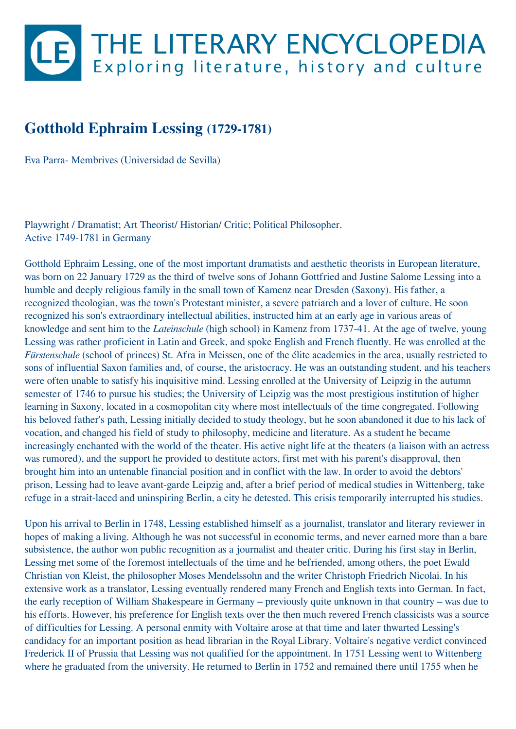## LE THE LITERARY ENCYCLOPEDIA

## **Gotthold Ephraim Lessing (1729-1781)**

Eva Parra- Membrives (Universidad de Sevilla)

Playwright / Dramatist; Art Theorist/ Historian/ Critic; Political Philosopher. Active 1749-1781 in Germany

Gotthold Ephraim Lessing, one of the most important dramatists and aesthetic theorists in European literature, was born on 22 January 1729 as the third of twelve sons of Johann Gottfried and Justine Salome Lessing into a humble and deeply religious family in the small town of Kamenz near Dresden (Saxony). His father, a recognized theologian, was the town's Protestant minister, a severe patriarch and a lover of culture. He soon recognized his son's extraordinary intellectual abilities, instructed him at an early age in various areas of knowledge and sent him to the *Lateinschule* (high school) in Kamenz from 1737-41. At the age of twelve, young Lessing was rather proficient in Latin and Greek, and spoke English and French fluently. He was enrolled at the *Fürstenschule* (school of princes) St. Afra in Meissen, one of the élite academies in the area, usually restricted to sons of influential Saxon families and, of course, the aristocracy. He was an outstanding student, and his teachers were often unable to satisfy his inquisitive mind. Lessing enrolled at the University of Leipzig in the autumn semester of 1746 to pursue his studies; the University of Leipzig was the most prestigious institution of higher learning in Saxony, located in a cosmopolitan city where most intellectuals of the time congregated. Following his beloved father's path, Lessing initially decided to study theology, but he soon abandoned it due to his lack of vocation, and changed his field of study to philosophy, medicine and literature. As a student he became increasingly enchanted with the world of the theater. His active night life at the theaters (a liaison with an actress was rumored), and the support he provided to destitute actors, first met with his parent's disapproval, then brought him into an untenable financial position and in conflict with the law. In order to avoid the debtors' prison, Lessing had to leave avant-garde Leipzig and, after a brief period of medical studies in Wittenberg, take refuge in a strait-laced and uninspiring Berlin, a city he detested. This crisis temporarily interrupted his studies.

Upon his arrival to Berlin in 1748, Lessing established himself as a journalist, translator and literary reviewer in hopes of making a living. Although he was not successful in economic terms, and never earned more than a bare subsistence, the author won public recognition as a journalist and theater critic. During his first stay in Berlin, Lessing met some of the foremost intellectuals of the time and he befriended, among others, the poet Ewald Christian von Kleist, the philosopher Moses Mendelssohn and the writer Christoph Friedrich Nicolai. In his extensive work as a translator, Lessing eventually rendered many French and English texts into German. In fact, the early reception of William Shakespeare in Germany – previously quite unknown in that country – was due to his efforts. However, his preference for English texts over the then much revered French classicists was a source of difficulties for Lessing. A personal enmity with Voltaire arose at that time and later thwarted Lessing's candidacy for an important position as head librarian in the Royal Library. Voltaire's negative verdict convinced Frederick II of Prussia that Lessing was not qualified for the appointment. In 1751 Lessing went to Wittenberg where he graduated from the university. He returned to Berlin in 1752 and remained there until 1755 when he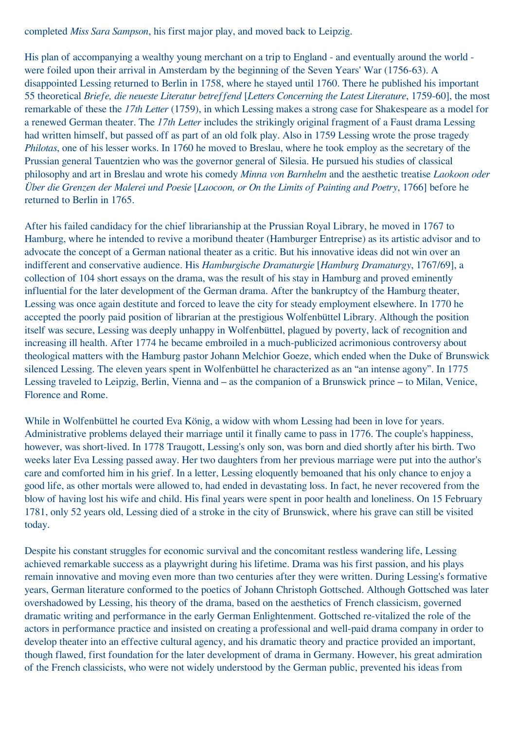completed *Miss Sara Sampson*, his first major play, and moved back to Leipzig.

His plan of accompanying a wealthy young merchant on a trip to England - and eventually around the world were foiled upon their arrival in Amsterdam by the beginning of the Seven Years' War (1756-63). A disappointed Lessing returned to Berlin in 1758, where he stayed until 1760. There he published his important 55 theoretical *Briefe, die neueste Literatur betreffend* [*Letters Concerning the Latest Literature*, 1759-60], the most remarkable of these the *17th Letter* (1759), in which Lessing makes a strong case for Shakespeare as a model for a renewed German theater. The *17th Letter* includes the strikingly original fragment of a Faust drama Lessing had written himself, but passed off as part of an old folk play. Also in 1759 Lessing wrote the prose tragedy *Philotas*, one of his lesser works. In 1760 he moved to Breslau, where he took employ as the secretary of the Prussian general Tauentzien who was the governor general of Silesia. He pursued his studies of classical philosophy and art in Breslau and wrote his comedy *Minna von Barnhelm* and the aesthetic treatise *Laokoon oder Über die Grenzen der Malerei und Poesie* [*Laocoon, or On the Limits of Painting and Poetry*, 1766] before he returned to Berlin in 1765.

After his failed candidacy for the chief librarianship at the Prussian Royal Library, he moved in 1767 to Hamburg, where he intended to revive a moribund theater (Hamburger Entreprise) as its artistic advisor and to advocate the concept of a German national theater as a critic. But his innovative ideas did not win over an indifferent and conservative audience. His *Hamburgische Dramaturgie* [*Hamburg Dramaturgy*, 1767/69], a collection of 104 short essays on the drama, was the result of his stay in Hamburg and proved eminently influential for the later development of the German drama. After the bankruptcy of the Hamburg theater, Lessing was once again destitute and forced to leave the city for steady employment elsewhere. In 1770 he accepted the poorly paid position of librarian at the prestigious Wolfenbüttel Library. Although the position itself was secure, Lessing was deeply unhappy in Wolfenbüttel, plagued by poverty, lack of recognition and increasing ill health. After 1774 he became embroiled in a much-publicized acrimonious controversy about theological matters with the Hamburg pastor Johann Melchior Goeze, which ended when the Duke of Brunswick silenced Lessing. The eleven years spent in Wolfenbüttel he characterized as an "an intense agony". In 1775 Lessing traveled to Leipzig, Berlin, Vienna and – as the companion of a Brunswick prince – to Milan, Venice, Florence and Rome.

While in Wolfenbüttel he courted Eva König, a widow with whom Lessing had been in love for years. Administrative problems delayed their marriage until it finally came to pass in 1776. The couple's happiness, however, was short-lived. In 1778 Traugott, Lessing's only son, was born and died shortly after his birth. Two weeks later Eva Lessing passed away. Her two daughters from her previous marriage were put into the author's care and comforted him in his grief. In a letter, Lessing eloquently bemoaned that his only chance to enjoy a good life, as other mortals were allowed to, had ended in devastating loss. In fact, he never recovered from the blow of having lost his wife and child. His final years were spent in poor health and loneliness. On 15 February 1781, only 52 years old, Lessing died of a stroke in the city of Brunswick, where his grave can still be visited today.

Despite his constant struggles for economic survival and the concomitant restless wandering life, Lessing achieved remarkable success as a playwright during his lifetime. Drama was his first passion, and his plays remain innovative and moving even more than two centuries after they were written. During Lessing's formative years, German literature conformed to the poetics of Johann Christoph Gottsched. Although Gottsched was later overshadowed by Lessing, his theory of the drama, based on the aesthetics of French classicism, governed dramatic writing and performance in the early German Enlightenment. Gottsched re-vitalized the role of the actors in performance practice and insisted on creating a professional and well-paid drama company in order to develop theater into an effective cultural agency, and his dramatic theory and practice provided an important, though flawed, first foundation for the later development of drama in Germany. However, his great admiration of the French classicists, who were not widely understood by the German public, prevented his ideas from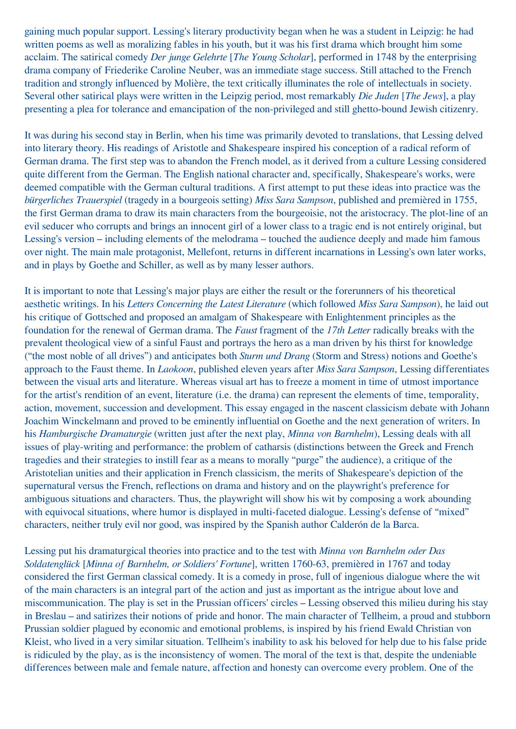gaining much popular support. Lessing's literary productivity began when he was a student in Leipzig: he had written poems as well as moralizing fables in his youth, but it was his first drama which brought him some acclaim. The satirical comedy *Der junge Gelehrte* [*The Young Scholar*], performed in 1748 by the enterprising drama company of Friederike Caroline Neuber, was an immediate stage success. Still attached to the French tradition and strongly influenced by Molière, the text critically illuminates the role of intellectuals in society. Several other satirical plays were written in the Leipzig period, most remarkably *Die Juden* [*The Jews*], a play presenting a plea for tolerance and emancipation of the non-privileged and still ghetto-bound Jewish citizenry.

It was during his second stay in Berlin, when his time was primarily devoted to translations, that Lessing delved into literary theory. His readings of Aristotle and Shakespeare inspired his conception of a radical reform of German drama. The first step was to abandon the French model, as it derived from a culture Lessing considered quite different from the German. The English national character and, specifically, Shakespeare's works, were deemed compatible with the German cultural traditions. A first attempt to put these ideas into practice was the *bürgerliches Trauerspiel* (tragedy in a bourgeois setting) *Miss Sara Sampson*, published and premièred in 1755, the first German drama to draw its main characters from the bourgeoisie, not the aristocracy. The plot-line of an evil seducer who corrupts and brings an innocent girl of a lower class to a tragic end is not entirely original, but Lessing's version – including elements of the melodrama – touched the audience deeply and made him famous over night. The main male protagonist, Mellefont, returns in different incarnations in Lessing's own later works, and in plays by Goethe and Schiller, as well as by many lesser authors.

It is important to note that Lessing's major plays are either the result or the forerunners of his theoretical aesthetic writings. In his *Letters Concerning the Latest Literature* (which followed *Miss Sara Sampson*), he laid out his critique of Gottsched and proposed an amalgam of Shakespeare with Enlightenment principles as the foundation for the renewal of German drama. The *Faust* fragment of the *17th Letter* radically breaks with the prevalent theological view of a sinful Faust and portrays the hero as a man driven by his thirst for knowledge ("the most noble of all drives") and anticipates both *Sturm und Drang* (Storm and Stress) notions and Goethe's approach to the Faust theme. In *Laokoon*, published eleven years after *Miss Sara Sampson*, Lessing differentiates between the visual arts and literature. Whereas visual art has to freeze a moment in time of utmost importance for the artist's rendition of an event, literature (i.e. the drama) can represent the elements of time, temporality, action, movement, succession and development. This essay engaged in the nascent classicism debate with Johann Joachim Winckelmann and proved to be eminently influential on Goethe and the next generation of writers. In his *Hamburgische Dramaturgie* (written just after the next play, *Minna von Barnhelm*), Lessing deals with all issues of play-writing and performance: the problem of catharsis (distinctions between the Greek and French tragedies and their strategies to instill fear as a means to morally "purge" the audience), a critique of the Aristotelian unities and their application in French classicism, the merits of Shakespeare's depiction of the supernatural versus the French, reflections on drama and history and on the playwright's preference for ambiguous situations and characters. Thus, the playwright will show his wit by composing a work abounding with equivocal situations, where humor is displayed in multi-faceted dialogue. Lessing's defense of "mixed" characters, neither truly evil nor good, was inspired by the Spanish author Calderón de la Barca.

Lessing put his dramaturgical theories into practice and to the test with *Minna von Barnhelm oder Das Soldatenglück* [*Minna of Barnhelm, or Soldiers' Fortune*], written 1760-63, premièred in 1767 and today considered the first German classical comedy. It is a comedy in prose, full of ingenious dialogue where the wit of the main characters is an integral part of the action and just as important as the intrigue about love and miscommunication. The play is set in the Prussian officers' circles – Lessing observed this milieu during his stay in Breslau – and satirizes their notions of pride and honor. The main character of Tellheim, a proud and stubborn Prussian soldier plagued by economic and emotional problems, is inspired by his friend Ewald Christian von Kleist, who lived in a very similar situation. Tellheim's inability to ask his beloved for help due to his false pride is ridiculed by the play, as is the inconsistency of women. The moral of the text is that, despite the undeniable differences between male and female nature, affection and honesty can overcome every problem. One of the